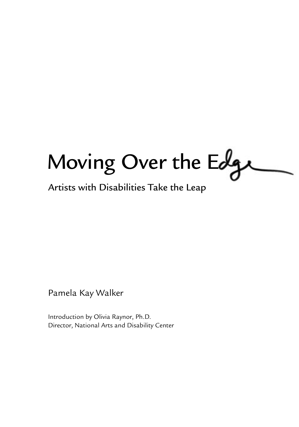Moving Over the Edge

# Artists with Disabilities Take the Leap

Pamela Kay Walker

Introduction by Olivia Raynor, Ph.D. Director, National Arts and Disability Center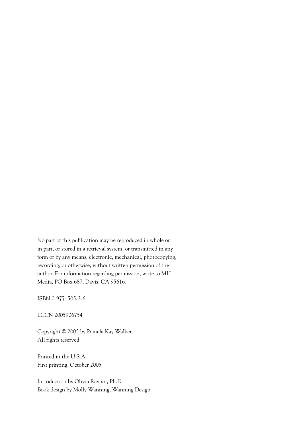No part of this publication may be reproduced in whole or in part, or stored in a retrieval system, or transmitted in any form or by any means, electronic, mechanical, photocopying, recording, or otherwise, without written permission of the author. For information regarding permission, write to MH Media, PO Box 687, Davis, CA 95616.

ISBN 0-9771505-2-6

LCCN 2005906754

Copyright © 2005 by Pamela Kay Walker. All rights reserved.

Printed in the U.S.A. First printing, October 2005

Introduction by Olivia Raynor, Ph.D. Book design by Molly Wanning, Wanning Design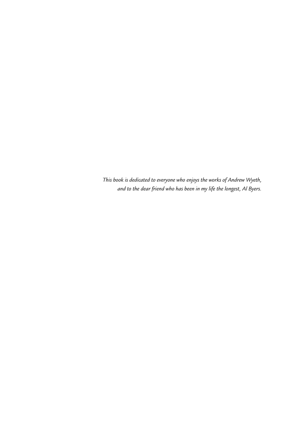*This book is dedicated to everyone who enjoys the works of Andrew Wyeth, and to the dear friend who has been in my life the longest, Al Byers.*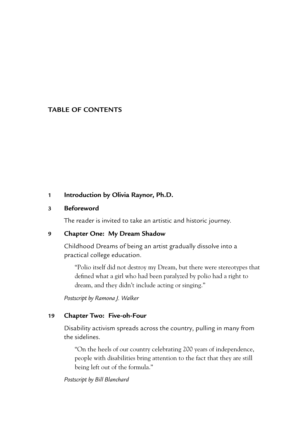# **TABLE OF CONTENTS**

## **1 Introduction by Olivia Raynor, Ph.D.**

## **3 Beforeword**

The reader is invited to take an artistic and historic journey.

# **9 Chapter One: My Dream Shadow**

Childhood Dreams of being an artist gradually dissolve into a practical college education.

"Polio itself did not destroy my Dream, but there were stereotypes that defined what a girl who had been paralyzed by polio had a right to dream, and they didn't include acting or singing."

*Postscript by Ramona J. Walker*

#### **19 Chapter Two: Five-oh-Four**

Disability activism spreads across the country, pulling in many from the sidelines.

"On the heels of our country celebrating 200 years of independence, people with disabilities bring attention to the fact that they are still being left out of the formula."

*Postscript by Bill Blanchard*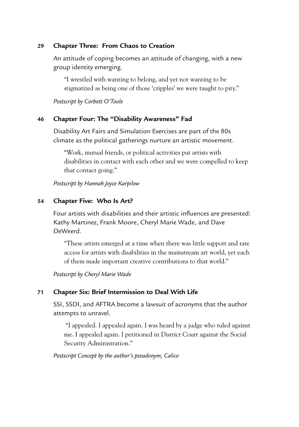# **29 Chapter Three: From Chaos to Creation**

An attitude of coping becomes an attitude of changing, with a new group identity emerging.

"I wrestled with wanting to belong, and yet not wanting to be stigmatized as being one of those 'cripples' we were taught to pity."

*Postscript by Corbett O'Toole*

## **46 Chapter Four: The "Disability Awareness" Fad**

Disability Art Fairs and Simulation Exercises are part of the 80s climate as the political gatherings nurture an artistic movement.

"Work, mutual friends, or political activities put artists with disabilities in contact with each other and we were compelled to keep that contact going."

*Postscript by Hannah Joyce Karpilow*

## **54 Chapter Five: Who Is Art?**

Four artists with disabilities and their artistic influences are presented: Kathy Martinez, Frank Moore, Cheryl Marie Wade, and Dave DeWeerd.

"These artists emerged at a time when there was little support and rare access for artists with disabilities in the mainstream art world, yet each of them made important creative contributions to that world."

*Postscript by Cheryl Marie Wade*

## **71 Chapter Six: Brief Intermission to Deal With Life**

SSI, SSDI, and AFTRA become a lawsuit of acronyms that the author attempts to unravel.

 "I appealed. I appealed again. I was heard by a judge who ruled against me. I appealed again. I petitioned in District Court against the Social Security Administration."

#### *Postscript Concept by the author's pseudonym, Calico*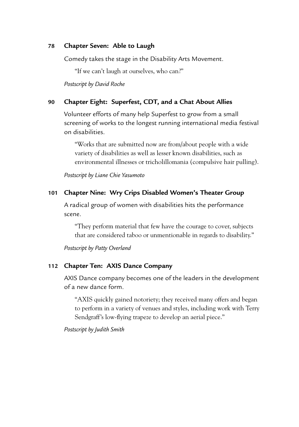#### **78 Chapter Seven: Able to Laugh**

Comedy takes the stage in the Disability Arts Movement.

"If we can't laugh at ourselves, who can?"

*Postscript by David Roche* 

#### **90 Chapter Eight: Superfest, CDT, and a Chat About Allies**

Volunteer efforts of many help Superfest to grow from a small screening of works to the longest running international media festival on disabilities.

"Works that are submitted now are from/about people with a wide variety of disabilities as well as lesser known disabilities, such as environmental illnesses or tricholillomania (compulsive hair pulling).

*Postscript by Liane Chie Yasumoto*

#### **101 Chapter Nine: Wry Crips Disabled Women's Theater Group**

A radical group of women with disabilities hits the performance scene.

"They perform material that few have the courage to cover, subjects that are considered taboo or unmentionable in regards to disability."

*Postscript by Patty Overland*

## **112 Chapter Ten: AXIS Dance Company**

AXIS Dance company becomes one of the leaders in the development of a new dance form.

"AXIS quickly gained notoriety; they received many offers and began to perform in a variety of venues and styles, including work with Terry Sendgraff's low-flying trapeze to develop an aerial piece."

*Postscript by Judith Smith*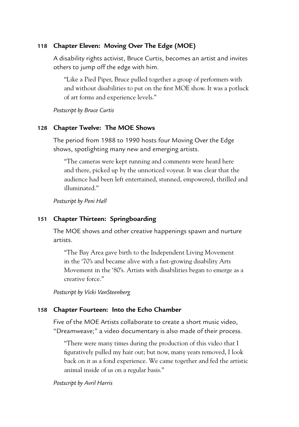# **118 Chapter Eleven: Moving Over The Edge (MOE)**

A disability rights activist, Bruce Curtis, becomes an artist and invites others to jump off the edge with him.

"Like a Pied Piper, Bruce pulled together a group of performers with and without disabilities to put on the first MOE show. It was a potluck of art forms and experience levels."

*Postscript by Bruce Curtis*

## **128 Chapter Twelve: The MOE Shows**

The period from 1988 to 1990 hosts four Moving Over the Edge shows, spotlighting many new and emerging artists.

"The cameras were kept running and comments were heard here and there, picked up by the unnoticed voyeur. It was clear that the audience had been left entertained, stunned, empowered, thrilled and illuminated."

*Postscript by Peni Hall*

## **151 Chapter Thirteen: Springboarding**

The MOE shows and other creative happenings spawn and nurture artists.

"The Bay Area gave birth to the Independent Living Movement in the '70's and became alive with a fast-growing disability Arts Movement in the '80's. Artists with disabilities began to emerge as a creative force."

*Postscript by Vicki VanSteenberg*

#### **158 Chapter Fourteen: Into the Echo Chamber**

Five of the MOE Artists collaborate to create a short music video, "Dreamweave;" a video documentary is also made of their process.

"There were many times during the production of this video that I figuratively pulled my hair out; but now, many years removed, I look back on it as a fond experience. We came together and fed the artistic animal inside of us on a regular basis."

*Postscript by Avril Harris*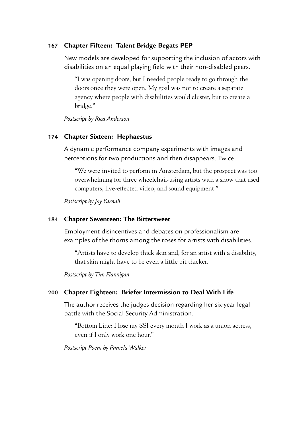## **167 Chapter Fifteen: Talent Bridge Begats PEP**

New models are developed for supporting the inclusion of actors with disabilities on an equal playing field with their non-disabled peers.

"I was opening doors, but I needed people ready to go through the doors once they were open. My goal was not to create a separate agency where people with disabilities would cluster, but to create a bridge."

*Postscript by Rica Anderson* 

## **174 Chapter Sixteen: Hephaestus**

A dynamic performance company experiments with images and perceptions for two productions and then disappears. Twice.

"We were invited to perform in Amsterdam, but the prospect was too overwhelming for three wheelchair-using artists with a show that used computers, live-effected video, and sound equipment."

*Postscript by Jay Yarnall*

## **184 Chapter Seventeen: The Bittersweet**

Employment disincentives and debates on professionalism are examples of the thorns among the roses for artists with disabilities.

"Artists have to develop thick skin and, for an artist with a disability, that skin might have to be even a little bit thicker.

*Postscript by Tim Flannigan*

## **200 Chapter Eighteen: Briefer Intermission to Deal With Life**

The author receives the judges decision regarding her six-year legal battle with the Social Security Administration.

"Bottom Line: I lose my SSI every month I work as a union actress, even if I only work one hour."

*Postscript Poem by Pamela Walker*